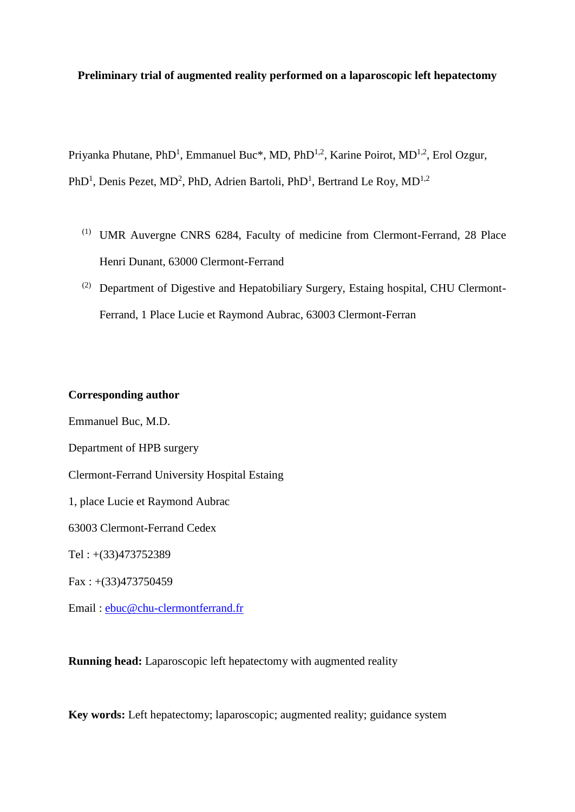## **Preliminary trial of augmented reality performed on a laparoscopic left hepatectomy**

Priyanka Phutane, PhD<sup>1</sup>, Emmanuel Buc<sup>\*</sup>, MD, PhD<sup>1,2</sup>, Karine Poirot, MD<sup>1,2</sup>, Erol Ozgur,

PhD<sup>1</sup>, Denis Pezet, MD<sup>2</sup>, PhD, Adrien Bartoli, PhD<sup>1</sup>, Bertrand Le Roy, MD<sup>1,2</sup>

- (1) UMR Auvergne CNRS 6284, Faculty of medicine from Clermont-Ferrand, 28 Place Henri Dunant, 63000 Clermont-Ferrand
- (2) Department of Digestive and Hepatobiliary Surgery, Estaing hospital, CHU Clermont-Ferrand, 1 Place Lucie et Raymond Aubrac, 63003 Clermont-Ferran

## **Corresponding author**

Emmanuel Buc, M.D.

Department of HPB surgery

Clermont-Ferrand University Hospital Estaing

1, place Lucie et Raymond Aubrac

63003 Clermont-Ferrand Cedex

Tel : +(33)473752389

 $Fax: +(33)473750459$ 

Email : [ebuc@chu-clermontferrand.fr](mailto:ebuc@chu-clermontferrand.fr)

**Running head:** Laparoscopic left hepatectomy with augmented reality

**Key words:** Left hepatectomy; laparoscopic; augmented reality; guidance system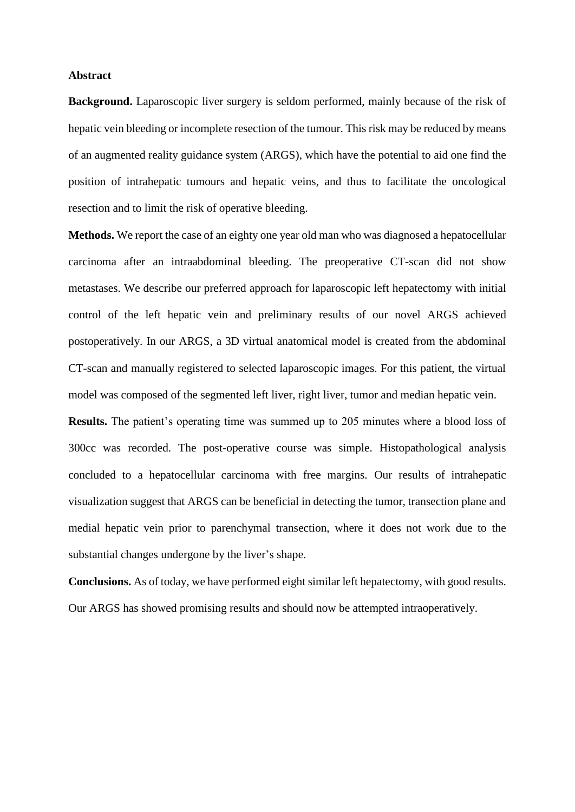## **Abstract**

**Background.** Laparoscopic liver surgery is seldom performed, mainly because of the risk of hepatic vein bleeding or incomplete resection of the tumour. This risk may be reduced by means of an augmented reality guidance system (ARGS), which have the potential to aid one find the position of intrahepatic tumours and hepatic veins, and thus to facilitate the oncological resection and to limit the risk of operative bleeding.

**Methods.** We report the case of an eighty one year old man who was diagnosed a hepatocellular carcinoma after an intraabdominal bleeding. The preoperative CT-scan did not show metastases. We describe our preferred approach for laparoscopic left hepatectomy with initial control of the left hepatic vein and preliminary results of our novel ARGS achieved postoperatively. In our ARGS, a 3D virtual anatomical model is created from the abdominal CT-scan and manually registered to selected laparoscopic images. For this patient, the virtual model was composed of the segmented left liver, right liver, tumor and median hepatic vein.

**Results.** The patient's operating time was summed up to 205 minutes where a blood loss of 300cc was recorded. The post-operative course was simple. Histopathological analysis concluded to a hepatocellular carcinoma with free margins. Our results of intrahepatic visualization suggest that ARGS can be beneficial in detecting the tumor, transection plane and medial hepatic vein prior to parenchymal transection, where it does not work due to the substantial changes undergone by the liver's shape.

**Conclusions.** As of today, we have performed eight similar left hepatectomy, with good results. Our ARGS has showed promising results and should now be attempted intraoperatively.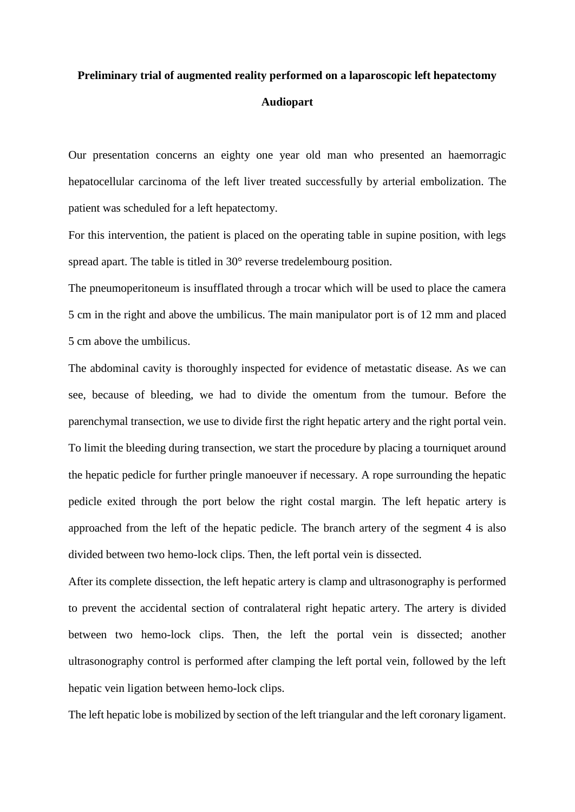## **Preliminary trial of augmented reality performed on a laparoscopic left hepatectomy Audiopart**

Our presentation concerns an eighty one year old man who presented an haemorragic hepatocellular carcinoma of the left liver treated successfully by arterial embolization. The patient was scheduled for a left hepatectomy.

For this intervention, the patient is placed on the operating table in supine position, with legs spread apart. The table is titled in 30° reverse tredelembourg position.

The pneumoperitoneum is insufflated through a trocar which will be used to place the camera 5 cm in the right and above the umbilicus. The main manipulator port is of 12 mm and placed 5 cm above the umbilicus.

The abdominal cavity is thoroughly inspected for evidence of metastatic disease. As we can see, because of bleeding, we had to divide the omentum from the tumour. Before the parenchymal transection, we use to divide first the right hepatic artery and the right portal vein. To limit the bleeding during transection, we start the procedure by placing a tourniquet around the hepatic pedicle for further pringle manoeuver if necessary. A rope surrounding the hepatic pedicle exited through the port below the right costal margin. The left hepatic artery is approached from the left of the hepatic pedicle. The branch artery of the segment 4 is also divided between two hemo-lock clips. Then, the left portal vein is dissected.

After its complete dissection, the left hepatic artery is clamp and ultrasonography is performed to prevent the accidental section of contralateral right hepatic artery. The artery is divided between two hemo-lock clips. Then, the left the portal vein is dissected; another ultrasonography control is performed after clamping the left portal vein, followed by the left hepatic vein ligation between hemo-lock clips.

The left hepatic lobe is mobilized by section of the left triangular and the left coronary ligament.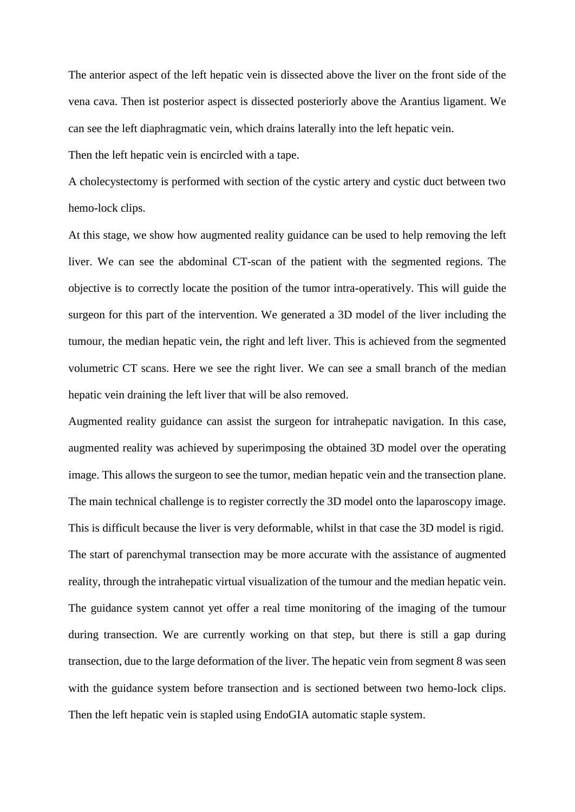The anterior aspect of the left hepatic vein is dissected above the liver on the front side of the vena cava. Then ist posterior aspect is dissected posteriorly above the Arantius ligament. We can see the left diaphragmatic vein, which drains laterally into the left hepatic vein.

Then the left hepatic vein is encircled with a tape.

A cholecystectomy is performed with section of the cystic artery and cystic duct between two hemo-lock clips.

At this stage, we show how augmented reality guidance can be used to help removing the left liver. We can see the abdominal CT-scan of the patient with the segmented regions. The objective is to correctly locate the position of the tumor intra-operatively. This will guide the surgeon for this part of the intervention. We generated a 3D model of the liver including the tumour, the median hepatic vein, the right and left liver. This is achieved from the segmented volumetric CT scans. Here we see the right liver. We can see a small branch of the median hepatic vein draining the left liver that will be also removed.

Augmented reality guidance can assist the surgeon for intrahepatic navigation. In this case, augmented reality was achieved by superimposing the obtained 3D model over the operating image. This allows the surgeon to see the tumor, median hepatic vein and the transection plane. The main technical challenge is to register correctly the 3D model onto the laparoscopy image. This is difficult because the liver is very deformable, whilst in that case the 3D model is rigid. The start of parenchymal transection may be more accurate with the assistance of augmented reality, through the intrahepatic virtual visualization of the tumour and the median hepatic vein. The guidance system cannot yet offer a real time monitoring of the imaging of the tumour during transection. We are currently working on that step, but there is still a gap during transection, due to the large deformation of the liver. The hepatic vein from segment 8 was seen with the guidance system before transection and is sectioned between two hemo-lock clips. Then the left hepatic vein is stapled using EndoGIA automatic staple system.